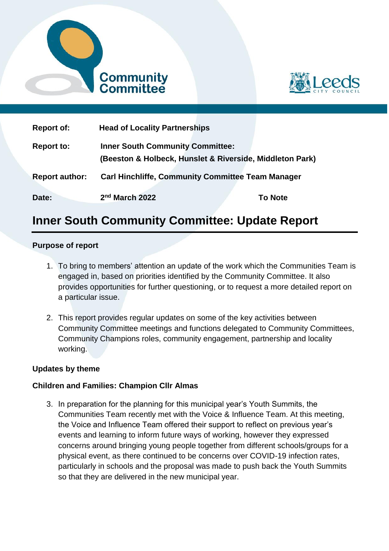



| <b>Report of:</b>     | <b>Head of Locality Partnerships</b>                                                                |                |
|-----------------------|-----------------------------------------------------------------------------------------------------|----------------|
| <b>Report to:</b>     | <b>Inner South Community Committee:</b><br>(Beeston & Holbeck, Hunslet & Riverside, Middleton Park) |                |
| <b>Report author:</b> | <b>Carl Hinchliffe, Community Committee Team Manager</b>                                            |                |
| Date:                 | 2 <sup>nd</sup> March 2022                                                                          | <b>To Note</b> |

# **Inner South Community Committee: Update Report**

#### **Purpose of report**

- 1. To bring to members' attention an update of the work which the Communities Team is engaged in, based on priorities identified by the Community Committee. It also provides opportunities for further questioning, or to request a more detailed report on a particular issue.
- 2. This report provides regular updates on some of the key activities between Community Committee meetings and functions delegated to Community Committees, Community Champions roles, community engagement, partnership and locality working.

## **Updates by theme**

## **Children and Families: Champion Cllr Almas**

3. In preparation for the planning for this municipal year's Youth Summits, the Communities Team recently met with the Voice & Influence Team. At this meeting, the Voice and Influence Team offered their support to reflect on previous year's events and learning to inform future ways of working, however they expressed concerns around bringing young people together from different schools/groups for a physical event, as there continued to be concerns over COVID-19 infection rates, particularly in schools and the proposal was made to push back the Youth Summits so that they are delivered in the new municipal year.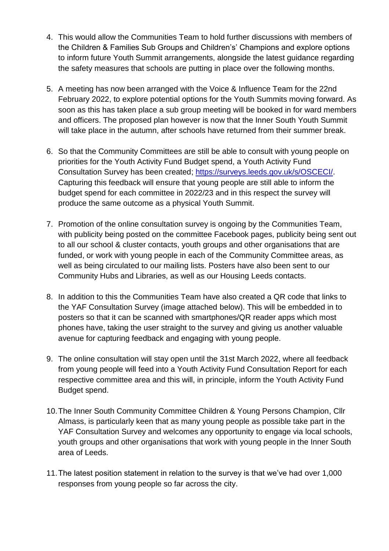- 4. This would allow the Communities Team to hold further discussions with members of the Children & Families Sub Groups and Children's' Champions and explore options to inform future Youth Summit arrangements, alongside the latest guidance regarding the safety measures that schools are putting in place over the following months.
- 5. A meeting has now been arranged with the Voice & Influence Team for the 22nd February 2022, to explore potential options for the Youth Summits moving forward. As soon as this has taken place a sub group meeting will be booked in for ward members and officers. The proposed plan however is now that the Inner South Youth Summit will take place in the autumn, after schools have returned from their summer break.
- 6. So that the Community Committees are still be able to consult with young people on priorities for the Youth Activity Fund Budget spend, a Youth Activity Fund Consultation Survey has been created; [https://surveys.leeds.gov.uk/s/OSCECI/.](https://surveys.leeds.gov.uk/s/OSCECI/) Capturing this feedback will ensure that young people are still able to inform the budget spend for each committee in 2022/23 and in this respect the survey will produce the same outcome as a physical Youth Summit.
- 7. Promotion of the online consultation survey is ongoing by the Communities Team, with publicity being posted on the committee Facebook pages, publicity being sent out to all our school & cluster contacts, youth groups and other organisations that are funded, or work with young people in each of the Community Committee areas, as well as being circulated to our mailing lists. Posters have also been sent to our Community Hubs and Libraries, as well as our Housing Leeds contacts.
- 8. In addition to this the Communities Team have also created a QR code that links to the YAF Consultation Survey (image attached below). This will be embedded in to posters so that it can be scanned with smartphones/QR reader apps which most phones have, taking the user straight to the survey and giving us another valuable avenue for capturing feedback and engaging with young people.
- 9. The online consultation will stay open until the 31st March 2022, where all feedback from young people will feed into a Youth Activity Fund Consultation Report for each respective committee area and this will, in principle, inform the Youth Activity Fund Budget spend.
- 10.The Inner South Community Committee Children & Young Persons Champion, Cllr Almass, is particularly keen that as many young people as possible take part in the YAF Consultation Survey and welcomes any opportunity to engage via local schools, youth groups and other organisations that work with young people in the Inner South area of Leeds.
- 11.The latest position statement in relation to the survey is that we've had over 1,000 responses from young people so far across the city.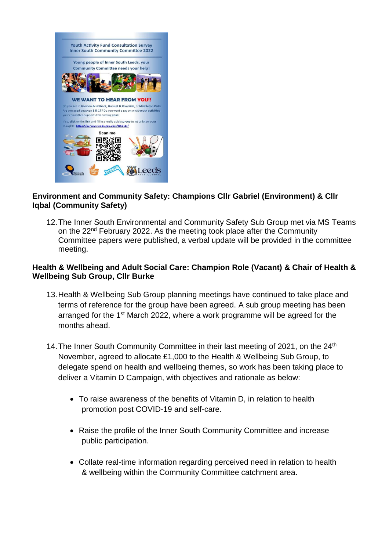

## **Environment and Community Safety: Champions Cllr Gabriel (Environment) & Cllr Iqbal (Community Safety)**

12.The Inner South Environmental and Community Safety Sub Group met via MS Teams on the 22<sup>nd</sup> February 2022. As the meeting took place after the Community Committee papers were published, a verbal update will be provided in the committee meeting.

## **Health & Wellbeing and Adult Social Care: Champion Role (Vacant) & Chair of Health & Wellbeing Sub Group, Cllr Burke**

- 13.Health & Wellbeing Sub Group planning meetings have continued to take place and terms of reference for the group have been agreed. A sub group meeting has been arranged for the 1<sup>st</sup> March 2022, where a work programme will be agreed for the months ahead.
- 14. The Inner South Community Committee in their last meeting of 2021, on the 24<sup>th</sup> November, agreed to allocate £1,000 to the Health & Wellbeing Sub Group, to delegate spend on health and wellbeing themes, so work has been taking place to deliver a Vitamin D Campaign, with objectives and rationale as below:
	- To raise awareness of the benefits of Vitamin D, in relation to health promotion post COVID-19 and self-care.
	- Raise the profile of the Inner South Community Committee and increase public participation.
	- Collate real-time information regarding perceived need in relation to health & wellbeing within the Community Committee catchment area.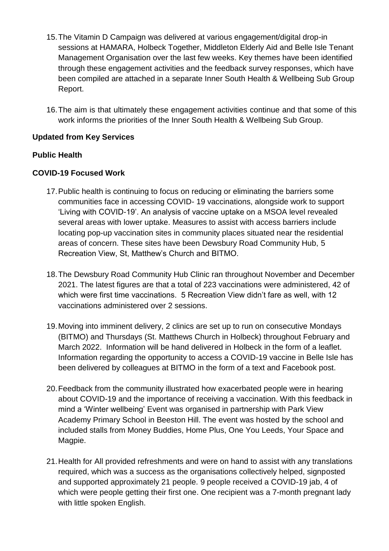- 15.The Vitamin D Campaign was delivered at various engagement/digital drop-in sessions at HAMARA, Holbeck Together, Middleton Elderly Aid and Belle Isle Tenant Management Organisation over the last few weeks. Key themes have been identified through these engagement activities and the feedback survey responses, which have been compiled are attached in a separate Inner South Health & Wellbeing Sub Group Report.
- 16.The aim is that ultimately these engagement activities continue and that some of this work informs the priorities of the Inner South Health & Wellbeing Sub Group.

## **Updated from Key Services**

# **Public Health**

# **COVID-19 Focused Work**

- 17.Public health is continuing to focus on reducing or eliminating the barriers some communities face in accessing COVID- 19 vaccinations, alongside work to support 'Living with COVID-19'. An analysis of vaccine uptake on a MSOA level revealed several areas with lower uptake. Measures to assist with access barriers include locating pop-up vaccination sites in community places situated near the residential areas of concern. These sites have been Dewsbury Road Community Hub, 5 Recreation View, St, Matthew's Church and BITMO.
- 18.The Dewsbury Road Community Hub Clinic ran throughout November and December 2021. The latest figures are that a total of 223 vaccinations were administered, 42 of which were first time vaccinations. 5 Recreation View didn't fare as well, with 12 vaccinations administered over 2 sessions.
- 19.Moving into imminent delivery, 2 clinics are set up to run on consecutive Mondays (BITMO) and Thursdays (St. Matthews Church in Holbeck) throughout February and March 2022. Information will be hand delivered in Holbeck in the form of a leaflet. Information regarding the opportunity to access a COVID-19 vaccine in Belle Isle has been delivered by colleagues at BITMO in the form of a text and Facebook post.
- 20.Feedback from the community illustrated how exacerbated people were in hearing about COVID-19 and the importance of receiving a vaccination. With this feedback in mind a 'Winter wellbeing' Event was organised in partnership with Park View Academy Primary School in Beeston Hill. The event was hosted by the school and included stalls from Money Buddies, Home Plus, One You Leeds, Your Space and Magpie.
- 21.Health for All provided refreshments and were on hand to assist with any translations required, which was a success as the organisations collectively helped, signposted and supported approximately 21 people. 9 people received a COVID-19 jab, 4 of which were people getting their first one. One recipient was a 7-month pregnant lady with little spoken English.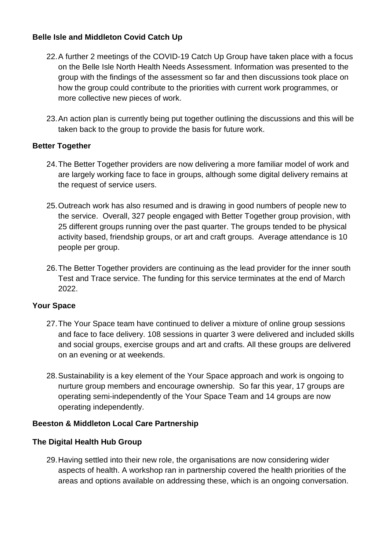# **Belle Isle and Middleton Covid Catch Up**

- 22.A further 2 meetings of the COVID-19 Catch Up Group have taken place with a focus on the Belle Isle North Health Needs Assessment. Information was presented to the group with the findings of the assessment so far and then discussions took place on how the group could contribute to the priorities with current work programmes, or more collective new pieces of work.
- 23.An action plan is currently being put together outlining the discussions and this will be taken back to the group to provide the basis for future work.

# **Better Together**

- 24.The Better Together providers are now delivering a more familiar model of work and are largely working face to face in groups, although some digital delivery remains at the request of service users.
- 25.Outreach work has also resumed and is drawing in good numbers of people new to the service. Overall, 327 people engaged with Better Together group provision, with 25 different groups running over the past quarter. The groups tended to be physical activity based, friendship groups, or art and craft groups. Average attendance is 10 people per group.
- 26.The Better Together providers are continuing as the lead provider for the inner south Test and Trace service. The funding for this service terminates at the end of March 2022.

## **Your Space**

- 27.The Your Space team have continued to deliver a mixture of online group sessions and face to face delivery. 108 sessions in quarter 3 were delivered and included skills and social groups, exercise groups and art and crafts. All these groups are delivered on an evening or at weekends.
- 28.Sustainability is a key element of the Your Space approach and work is ongoing to nurture group members and encourage ownership. So far this year, 17 groups are operating semi-independently of the Your Space Team and 14 groups are now operating independently.

## **Beeston & Middleton Local Care Partnership**

## **The Digital Health Hub Group**

29.Having settled into their new role, the organisations are now considering wider aspects of health. A workshop ran in partnership covered the health priorities of the areas and options available on addressing these, which is an ongoing conversation.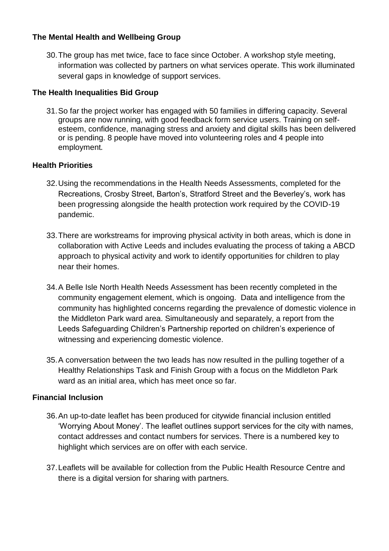## **The Mental Health and Wellbeing Group**

30.The group has met twice, face to face since October. A workshop style meeting, information was collected by partners on what services operate. This work illuminated several gaps in knowledge of support services.

# **The Health Inequalities Bid Group**

31.So far the project worker has engaged with 50 families in differing capacity. Several groups are now running, with good feedback form service users. Training on selfesteem, confidence, managing stress and anxiety and digital skills has been delivered or is pending. 8 people have moved into volunteering roles and 4 people into employment.

# **Health Priorities**

- 32.Using the recommendations in the Health Needs Assessments, completed for the Recreations, Crosby Street, Barton's, Stratford Street and the Beverley's, work has been progressing alongside the health protection work required by the COVID-19 pandemic.
- 33.There are workstreams for improving physical activity in both areas, which is done in collaboration with Active Leeds and includes evaluating the process of taking a ABCD approach to physical activity and work to identify opportunities for children to play near their homes.
- 34.A Belle Isle North Health Needs Assessment has been recently completed in the community engagement element, which is ongoing. Data and intelligence from the community has highlighted concerns regarding the prevalence of domestic violence in the Middleton Park ward area. Simultaneously and separately, a report from the Leeds Safeguarding Children's Partnership reported on children's experience of witnessing and experiencing domestic violence.
- 35.A conversation between the two leads has now resulted in the pulling together of a Healthy Relationships Task and Finish Group with a focus on the Middleton Park ward as an initial area, which has meet once so far.

## **Financial Inclusion**

- 36.An up-to-date leaflet has been produced for citywide financial inclusion entitled 'Worrying About Money'. The leaflet outlines support services for the city with names, contact addresses and contact numbers for services. There is a numbered key to highlight which services are on offer with each service.
- 37.Leaflets will be available for collection from the Public Health Resource Centre and there is a digital version for sharing with partners.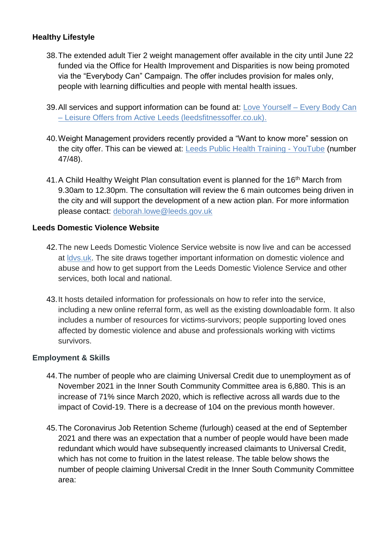## **Healthy Lifestyle**

- 38.The extended adult Tier 2 weight management offer available in the city until June 22 funded via the Office for Health Improvement and Disparities is now being promoted via the "Everybody Can" Campaign. The offer includes provision for males only, people with learning difficulties and people with mental health issues.
- 39.All services and support information can be found at: Love Yourself [Every Body Can](https://www.leedsfitnessoffer.co.uk/love-yourself/love-yourself-every-body-can/)  – Leisure [Offers from Active Leeds \(leedsfitnessoffer.co.uk\).](https://www.leedsfitnessoffer.co.uk/love-yourself/love-yourself-every-body-can/)
- 40.Weight Management providers recently provided a "Want to know more" session on the city offer. This can be viewed at: [Leeds Public Health Training -](https://www.youtube.com/playlist?list=PLggQFjpTLgpJehyjhnn7doqrDIEtCo_sf) YouTube (number 47/48).
- 41.A Child Healthy Weight Plan consultation event is planned for the 16<sup>th</sup> March from 9.30am to 12.30pm. The consultation will review the 6 main outcomes being driven in the city and will support the development of a new action plan. For more information please contact: [deborah.lowe@leeds.gov.uk](mailto:deborah.lowe@leeds.gov.uk)

## **Leeds Domestic Violence Website**

- 42.The new Leeds Domestic Violence Service website is now live and can be accessed at [ldvs.uk.](http://www.ldvs.uk/) The site draws together important information on domestic violence and abuse and how to get support from the Leeds Domestic Violence Service and other services, both local and national.
- 43.It hosts detailed information for professionals on how to refer into the service, including a new online referral form, as well as the existing downloadable form. It also includes a number of resources for victims-survivors; people supporting loved ones affected by domestic violence and abuse and professionals working with victims survivors.

## **Employment & Skills**

- 44.The number of people who are claiming Universal Credit due to unemployment as of November 2021 in the Inner South Community Committee area is 6,880. This is an increase of 71% since March 2020, which is reflective across all wards due to the impact of Covid-19. There is a decrease of 104 on the previous month however.
- 45.The Coronavirus Job Retention Scheme (furlough) ceased at the end of September 2021 and there was an expectation that a number of people would have been made redundant which would have subsequently increased claimants to Universal Credit, which has not come to fruition in the latest release. The table below shows the number of people claiming Universal Credit in the Inner South Community Committee area: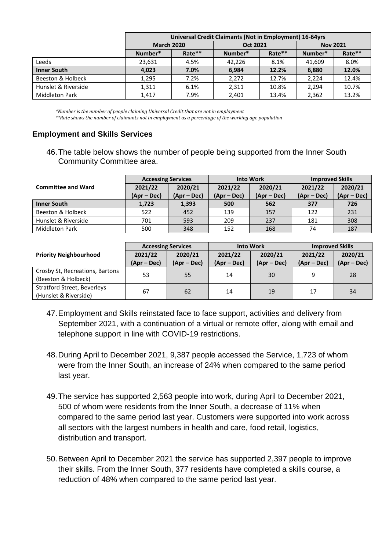|                       | Universal Credit Claimants (Not in Employment) 16-64yrs |        |          |        |                 |        |
|-----------------------|---------------------------------------------------------|--------|----------|--------|-----------------|--------|
|                       | <b>March 2020</b>                                       |        | Oct 2021 |        | <b>Nov 2021</b> |        |
|                       | Number*                                                 | Rate** | Number*  | Rate** | Number*         | Rate** |
| Leeds                 | 23,631                                                  | 4.5%   | 42.226   | 8.1%   | 41.609          | 8.0%   |
| <b>Inner South</b>    | 4.023                                                   | 7.0%   | 6.984    | 12.2%  | 6.880           | 12.0%  |
| Beeston & Holbeck     | 1,295                                                   | 7.2%   | 2,272    | 12.7%  | 2.224           | 12.4%  |
| Hunslet & Riverside   | 1,311                                                   | 6.1%   | 2,311    | 10.8%  | 2.294           | 10.7%  |
| <b>Middleton Park</b> | 1.417                                                   | 7.9%   | 2,401    | 13.4%  | 2,362           | 13.2%  |

 *\*Number is the number of people claiming Universal Credit that are not in employment* 

 *\*\*Rate shows the number of claimants not in employment as a percentage of the working age population*

#### **Employment and Skills Services**

46.The table below shows the number of people being supported from the Inner South Community Committee area.

|                              | <b>Accessing Services</b> |             | <b>Into Work</b> |             | <b>Improved Skills</b> |               |
|------------------------------|---------------------------|-------------|------------------|-------------|------------------------|---------------|
| <b>Committee and Ward</b>    | 2021/22                   | 2020/21     | 2021/22          | 2020/21     | 2021/22                | 2020/21       |
|                              | $(Apr - Dec)$             | (Apr – Dec) | (Apr – Dec)      | (Apr – Dec) | (Apr – Dec)            | $(Apr - Dec)$ |
| <b>Inner South</b>           | 1,723                     | 1,393       | 500              | 562         | 377                    | 726           |
| <b>Beeston &amp; Holbeck</b> | 522                       | 452         | 139              | 157         | 122                    | 231           |
| Hunslet & Riverside          | 701                       | 593         | 209              | 237         | 181                    | 308           |
| Middleton Park               | 500                       | 348         | 152              | 168         | 74                     | 187           |

|                                    | <b>Accessing Services</b> |             | <b>Into Work</b> |               | <b>Improved Skills</b> |               |
|------------------------------------|---------------------------|-------------|------------------|---------------|------------------------|---------------|
| <b>Priority Neighbourhood</b>      | 2021/22                   | 2020/21     | 2021/22          | 2020/21       | 2021/22                | 2020/21       |
|                                    | (Apr – Dec)               | (Apr – Dec) | $(Apr-Dec)$      | $(Apr - Dec)$ | (Apr – Dec)            | $(Apr - Dec)$ |
| Crosby St, Recreations, Bartons    | 53                        | 55          | 14               | 30            | 9                      | 28            |
| (Beeston & Holbeck)                |                           |             |                  |               |                        |               |
| <b>Stratford Street, Beverleys</b> | 67                        | 62          | 14               | 19            | 17                     | 34            |
| (Hunslet & Riverside)              |                           |             |                  |               |                        |               |

- 47.Employment and Skills reinstated face to face support, activities and delivery from September 2021, with a continuation of a virtual or remote offer, along with email and telephone support in line with COVID-19 restrictions.
- 48.During April to December 2021, 9,387 people accessed the Service, 1,723 of whom were from the Inner South, an increase of 24% when compared to the same period last year.
- 49.The service has supported 2,563 people into work, during April to December 2021, 500 of whom were residents from the Inner South, a decrease of 11% when compared to the same period last year. Customers were supported into work across all sectors with the largest numbers in health and care, food retail, logistics, distribution and transport.
- 50.Between April to December 2021 the service has supported 2,397 people to improve their skills. From the Inner South, 377 residents have completed a skills course, a reduction of 48% when compared to the same period last year.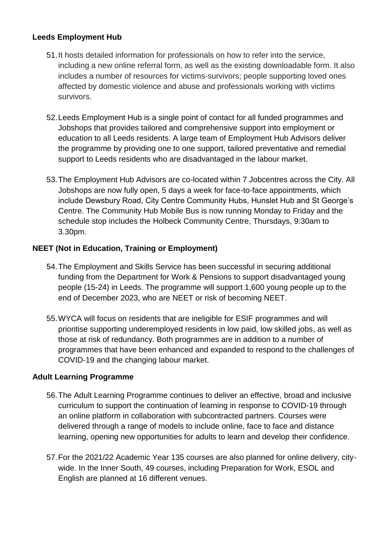## **Leeds Employment Hub**

- 51.It hosts detailed information for professionals on how to refer into the service, including a new online referral form, as well as the existing downloadable form. It also includes a number of resources for victims-survivors; people supporting loved ones affected by domestic violence and abuse and professionals working with victims survivors.
- 52.Leeds Employment Hub is a single point of contact for all funded programmes and Jobshops that provides tailored and comprehensive support into employment or education to all Leeds residents. A large team of Employment Hub Advisors deliver the programme by providing one to one support, tailored preventative and remedial support to Leeds residents who are disadvantaged in the labour market.
- 53.The Employment Hub Advisors are co-located within 7 Jobcentres across the City. All Jobshops are now fully open, 5 days a week for face-to-face appointments, which include Dewsbury Road, City Centre Community Hubs, Hunslet Hub and St George's Centre. The Community Hub Mobile Bus is now running Monday to Friday and the schedule stop includes the Holbeck Community Centre, Thursdays, 9:30am to 3.30pm.

## **NEET (Not in Education, Training or Employment)**

- 54.The Employment and Skills Service has been successful in securing additional funding from the Department for Work & Pensions to support disadvantaged young people (15-24) in Leeds. The programme will support 1,600 young people up to the end of December 2023, who are NEET or risk of becoming NEET.
- 55.WYCA will focus on residents that are ineligible for ESIF programmes and will prioritise supporting underemployed residents in low paid, low skilled jobs, as well as those at risk of redundancy. Both programmes are in addition to a number of programmes that have been enhanced and expanded to respond to the challenges of COVID-19 and the changing labour market.

## **Adult Learning Programme**

- 56.The Adult Learning Programme continues to deliver an effective, broad and inclusive curriculum to support the continuation of learning in response to COVID-19 through an online platform in collaboration with subcontracted partners. Courses were delivered through a range of models to include online, face to face and distance learning, opening new opportunities for adults to learn and develop their confidence.
- 57.For the 2021/22 Academic Year 135 courses are also planned for online delivery, citywide. In the Inner South, 49 courses, including Preparation for Work, ESOL and English are planned at 16 different venues.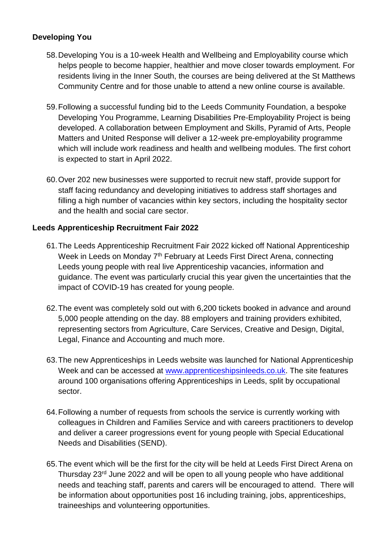# **Developing You**

- 58.Developing You is a 10-week Health and Wellbeing and Employability course which helps people to become happier, healthier and move closer towards employment. For residents living in the Inner South, the courses are being delivered at the St Matthews Community Centre and for those unable to attend a new online course is available.
- 59.Following a successful funding bid to the Leeds Community Foundation, a bespoke Developing You Programme, Learning Disabilities Pre-Employability Project is being developed. A collaboration between Employment and Skills, Pyramid of Arts, People Matters and United Response will deliver a 12-week pre-employability programme which will include work readiness and health and wellbeing modules. The first cohort is expected to start in April 2022.
- 60.Over 202 new businesses were supported to recruit new staff, provide support for staff facing redundancy and developing initiatives to address staff shortages and filling a high number of vacancies within key sectors, including the hospitality sector and the health and social care sector.

## **Leeds Apprenticeship Recruitment Fair 2022**

- 61.The Leeds Apprenticeship Recruitment Fair 2022 kicked off National Apprenticeship Week in Leeds on Monday 7<sup>th</sup> February at Leeds First Direct Arena, connecting Leeds young people with real live Apprenticeship vacancies, information and guidance. The event was particularly crucial this year given the uncertainties that the impact of COVID-19 has created for young people.
- 62.The event was completely sold out with 6,200 tickets booked in advance and around 5,000 people attending on the day. 88 employers and training providers exhibited, representing sectors from Agriculture, Care Services, Creative and Design, Digital, Legal, Finance and Accounting and much more.
- 63.The new Apprenticeships in Leeds website was launched for National Apprenticeship Week and can be accessed at [www.apprenticeshipsinleeds.co.uk.](http://www.apprenticeshipsinleeds.co.uk/) The site features around 100 organisations offering Apprenticeships in Leeds, split by occupational sector.
- 64.Following a number of requests from schools the service is currently working with colleagues in Children and Families Service and with careers practitioners to develop and deliver a career progressions event for young people with Special Educational Needs and Disabilities (SEND).
- 65.The event which will be the first for the city will be held at Leeds First Direct Arena on Thursday 23<sup>rd</sup> June 2022 and will be open to all young people who have additional needs and teaching staff, parents and carers will be encouraged to attend. There will be information about opportunities post 16 including training, jobs, apprenticeships, traineeships and volunteering opportunities.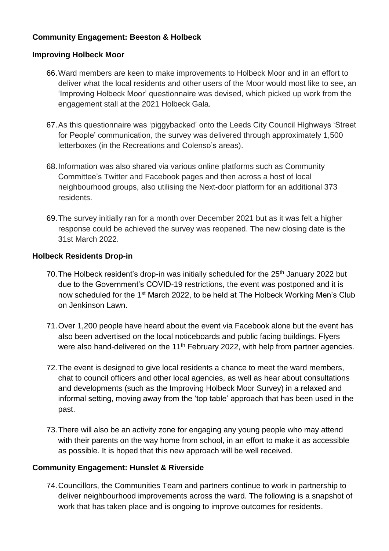# **Community Engagement: Beeston & Holbeck**

#### **Improving Holbeck Moor**

- 66.Ward members are keen to make improvements to Holbeck Moor and in an effort to deliver what the local residents and other users of the Moor would most like to see, an 'Improving Holbeck Moor' questionnaire was devised, which picked up work from the engagement stall at the 2021 Holbeck Gala.
- 67.As this questionnaire was 'piggybacked' onto the Leeds City Council Highways 'Street for People' communication, the survey was delivered through approximately 1,500 letterboxes (in the Recreations and Colenso's areas).
- 68.Information was also shared via various online platforms such as Community Committee's Twitter and Facebook pages and then across a host of local neighbourhood groups, also utilising the Next-door platform for an additional 373 residents.
- 69.The survey initially ran for a month over December 2021 but as it was felt a higher response could be achieved the survey was reopened. The new closing date is the 31st March 2022.

#### **Holbeck Residents Drop-in**

- 70. The Holbeck resident's drop-in was initially scheduled for the 25<sup>th</sup> January 2022 but due to the Government's COVID-19 restrictions, the event was postponed and it is now scheduled for the 1<sup>st</sup> March 2022, to be held at The Holbeck Working Men's Club on Jenkinson Lawn.
- 71.Over 1,200 people have heard about the event via Facebook alone but the event has also been advertised on the local noticeboards and public facing buildings. Flyers were also hand-delivered on the 11<sup>th</sup> February 2022, with help from partner agencies.
- 72.The event is designed to give local residents a chance to meet the ward members, chat to council officers and other local agencies, as well as hear about consultations and developments (such as the Improving Holbeck Moor Survey) in a relaxed and informal setting, moving away from the 'top table' approach that has been used in the past.
- 73.There will also be an activity zone for engaging any young people who may attend with their parents on the way home from school, in an effort to make it as accessible as possible. It is hoped that this new approach will be well received.

## **Community Engagement: Hunslet & Riverside**

74.Councillors, the Communities Team and partners continue to work in partnership to deliver neighbourhood improvements across the ward. The following is a snapshot of work that has taken place and is ongoing to improve outcomes for residents.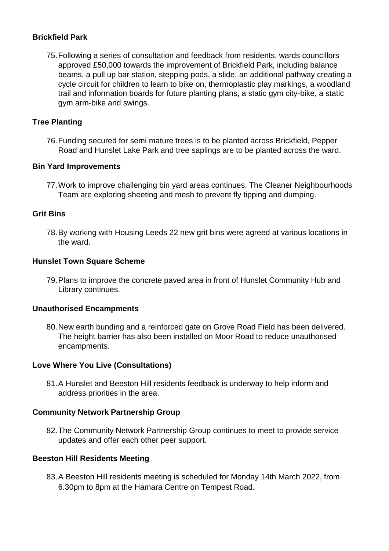#### **Brickfield Park**

75.Following a series of consultation and feedback from residents, wards councillors approved £50,000 towards the improvement of Brickfield Park, including balance beams, a pull up bar station, stepping pods, a slide, an additional pathway creating a cycle circuit for children to learn to bike on, thermoplastic play markings, a woodland trail and information boards for future planting plans, a static gym city-bike, a static gym arm-bike and swings.

#### **Tree Planting**

76.Funding secured for semi mature trees is to be planted across Brickfield, Pepper Road and Hunslet Lake Park and tree saplings are to be planted across the ward.

#### **Bin Yard Improvements**

77.Work to improve challenging bin yard areas continues. The Cleaner Neighbourhoods Team are exploring sheeting and mesh to prevent fly tipping and dumping.

#### **Grit Bins**

78.By working with Housing Leeds 22 new grit bins were agreed at various locations in the ward.

#### **Hunslet Town Square Scheme**

79.Plans to improve the concrete paved area in front of Hunslet Community Hub and Library continues.

#### **Unauthorised Encampments**

80.New earth bunding and a reinforced gate on Grove Road Field has been delivered. The height barrier has also been installed on Moor Road to reduce unauthorised encampments.

#### **Love Where You Live (Consultations)**

81.A Hunslet and Beeston Hill residents feedback is underway to help inform and address priorities in the area.

#### **Community Network Partnership Group**

82.The Community Network Partnership Group continues to meet to provide service updates and offer each other peer support.

#### **Beeston Hill Residents Meeting**

83.A Beeston Hill residents meeting is scheduled for Monday 14th March 2022, from 6.30pm to 8pm at the Hamara Centre on Tempest Road.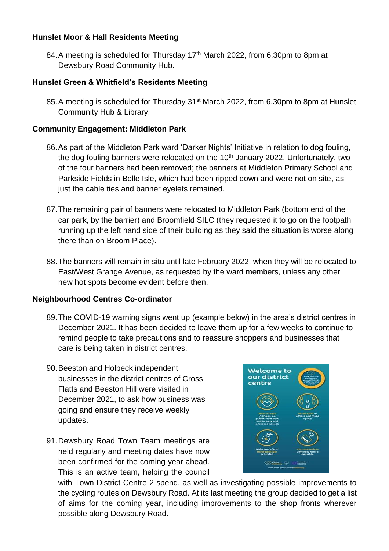## **Hunslet Moor & Hall Residents Meeting**

84. A meeting is scheduled for Thursday 17<sup>th</sup> March 2022, from 6.30pm to 8pm at Dewsbury Road Community Hub.

# **Hunslet Green & Whitfield's Residents Meeting**

85. A meeting is scheduled for Thursday 31<sup>st</sup> March 2022, from 6.30pm to 8pm at Hunslet Community Hub & Library.

## **Community Engagement: Middleton Park**

- 86.As part of the Middleton Park ward 'Darker Nights' Initiative in relation to dog fouling, the dog fouling banners were relocated on the  $10<sup>th</sup>$  January 2022. Unfortunately, two of the four banners had been removed; the banners at Middleton Primary School and Parkside Fields in Belle Isle, which had been ripped down and were not on site, as just the cable ties and banner eyelets remained.
- 87.The remaining pair of banners were relocated to Middleton Park (bottom end of the car park, by the barrier) and Broomfield SILC (they requested it to go on the footpath running up the left hand side of their building as they said the situation is worse along there than on Broom Place).
- 88.The banners will remain in situ until late February 2022, when they will be relocated to East/West Grange Avenue, as requested by the ward members, unless any other new hot spots become evident before then.

## **Neighbourhood Centres Co-ordinator**

- 89.The COVID-19 warning signs went up (example below) in the area's district centres in December 2021. It has been decided to leave them up for a few weeks to continue to remind people to take precautions and to reassure shoppers and businesses that care is being taken in district centres.
- 90.Beeston and Holbeck independent businesses in the district centres of Cross Flatts and Beeston Hill were visited in December 2021, to ask how business was going and ensure they receive weekly updates.
- 91.Dewsbury Road Town Team meetings are held regularly and meeting dates have now been confirmed for the coming year ahead. This is an active team, helping the council



with Town District Centre 2 spend, as well as investigating possible improvements to the cycling routes on Dewsbury Road. At its last meeting the group decided to get a list of aims for the coming year, including improvements to the shop fronts wherever possible along Dewsbury Road.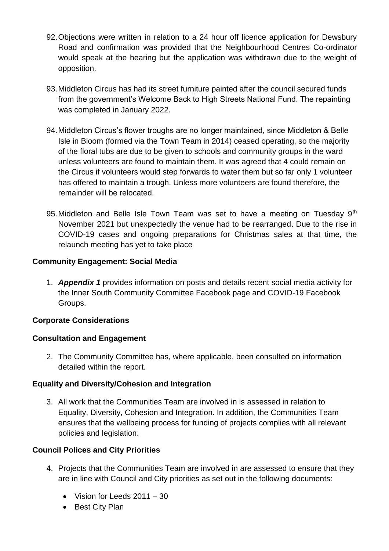- 92.Objections were written in relation to a 24 hour off licence application for Dewsbury Road and confirmation was provided that the Neighbourhood Centres Co-ordinator would speak at the hearing but the application was withdrawn due to the weight of opposition.
- 93.Middleton Circus has had its street furniture painted after the council secured funds from the government's Welcome Back to High Streets National Fund. The repainting was completed in January 2022.
- 94.Middleton Circus's flower troughs are no longer maintained, since Middleton & Belle Isle in Bloom (formed via the Town Team in 2014) ceased operating, so the majority of the floral tubs are due to be given to schools and community groups in the ward unless volunteers are found to maintain them. It was agreed that 4 could remain on the Circus if volunteers would step forwards to water them but so far only 1 volunteer has offered to maintain a trough. Unless more volunteers are found therefore, the remainder will be relocated.
- 95. Middleton and Belle Isle Town Team was set to have a meeting on Tuesday 9<sup>th</sup> November 2021 but unexpectedly the venue had to be rearranged. Due to the rise in COVID-19 cases and ongoing preparations for Christmas sales at that time, the relaunch meeting has yet to take place

# **Community Engagement: Social Media**

1. *Appendix 1* provides information on posts and details recent social media activity for the Inner South Community Committee Facebook page and COVID-19 Facebook Groups.

# **Corporate Considerations**

# **Consultation and Engagement**

2. The Community Committee has, where applicable, been consulted on information detailed within the report.

# **Equality and Diversity/Cohesion and Integration**

3. All work that the Communities Team are involved in is assessed in relation to Equality, Diversity, Cohesion and Integration. In addition, the Communities Team ensures that the wellbeing process for funding of projects complies with all relevant policies and legislation.

# **Council Polices and City Priorities**

- 4. Projects that the Communities Team are involved in are assessed to ensure that they are in line with Council and City priorities as set out in the following documents:
	- Vision for Leeds 2011 30
	- Best City Plan